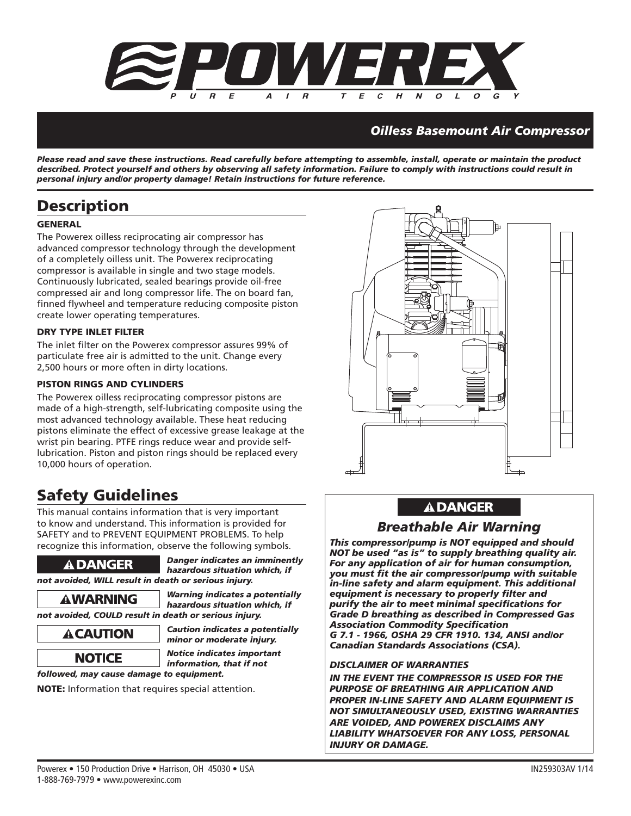

# *Oilless Basemount Air Compressor*

*Please read and save these instructions. Read carefully before attempting to assemble, install, operate or maintain the product described. Protect yourself and others by observing all safety information. Failure to comply with instructions could result in personal injury and/or property damage! Retain instructions for future reference.*

# **Description**

## **GENERAL**

The Powerex oilless reciprocating air compressor has advanced compressor technology through the development of a completely oilless unit. The Powerex reciprocating compressor is available in single and two stage models. Continuously lubricated, sealed bearings provide oil-free compressed air and long compressor life. The on board fan, finned flywheel and temperature reducing composite piston create lower operating temperatures.

### **DRY TYPE INLET FILTER**

The inlet filter on the Powerex compressor assures 99% of particulate free air is admitted to the unit. Change every 2,500 hours or more often in dirty locations.

### **PISTON RINGS AND CYLINDERS**

The Powerex oilless reciprocating compressor pistons are made of a high-strength, self-lubricating composite using the most advanced technology available. These heat reducing pistons eliminate the effect of excessive grease leakage at the wrist pin bearing. PTFE rings reduce wear and provide selflubrication. Piston and piston rings should be replaced every 10,000 hours of operation.

# **Safety Guidelines**

This manual contains information that is very important to know and understand. This information is provided for SAFETY and to PREVENT EQUIPMENT PROBLEMS. To help recognize this information, observe the following symbols.



 *Danger indicates an imminently hazardous situation which, if not avoided, WILL result in death or serious injury.*

 *Warning indicates a potentially hazardous situation which, if not avoided, COULD result in death or serious injury.*

 *Caution indicates a potentially minor or moderate injury.*

**NOTICE** Notice indicates important  *information, that if not* 

*followed, may cause damage to equipment.*

**NOTE:** Information that requires special attention.



# **A DANGER**

# *Breathable Air Warning*

*This compressor/pump is NOT equipped and should NOT be used "as is" to supply breathing quality air. For any application of air for human consumption,*  you must fit the air compressor/pump with suitable *in-line safety and alarm equipment. This additional equipment is necessary to properly fi lter and purify the air to meet minimal specifi cations for Grade D breathing as described in Compressed Gas Association Commodity Specifi cation G 7.1 - 1966, OSHA 29 CFR 1910. 134, ANSI and/or Canadian Standards Associations (CSA).*

### *DISCLAIMER OF WARRANTIES*

*IN THE EVENT THE COMPRESSOR IS USED FOR THE PURPOSE OF BREATHING AIR APPLICATION AND PROPER IN-LINE SAFETY AND ALARM EQUIPMENT IS NOT SIMULTANEOUSLY USED, EXISTING WARRANTIES ARE VOIDED, AND POWEREX DISCLAIMS ANY LIABILITY WHATSOEVER FOR ANY LOSS, PERSONAL INJURY OR DAMAGE.*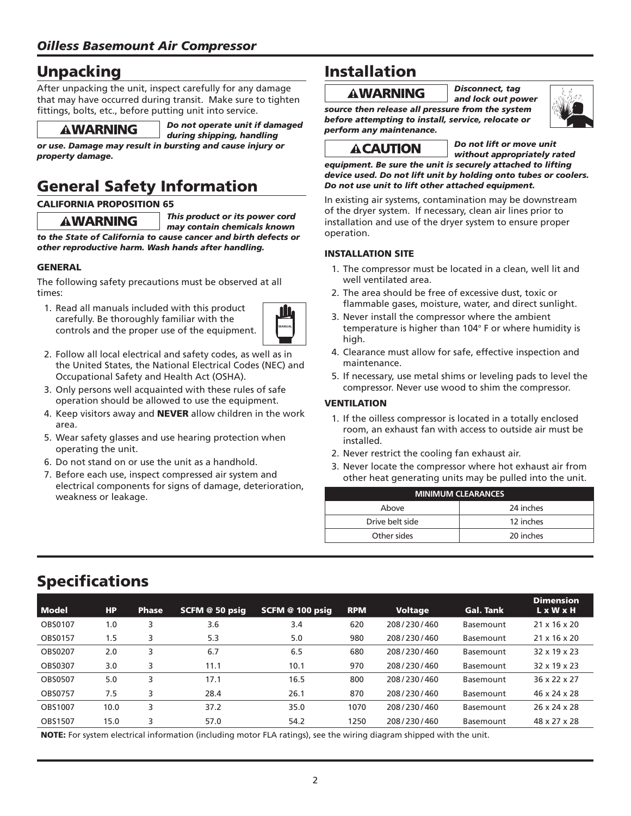# **Unpacking**

After unpacking the unit, inspect carefully for any damage that may have occurred during transit. Make sure to tighten fittings, bolts, etc., before putting unit into service.



 *Do not operate unit if damaged*

 *during shipping, handling or use. Damage may result in bursting and cause injury or property damage.*

# **General Safety Information**

### **CALIFORNIA PROPOSITION 65**

 *This product or its power cord may contain chemicals known to the State of California to cause cancer and birth defects or other reproductive harm. Wash hands after handling.*

## **GENERAL**

The following safety precautions must be observed at all times:

 1. Read all manuals included with this product carefully. Be thoroughly familiar with the controls and the proper use of the equipment.



- 2. Follow all local electrical and safety codes, as well as in the United States, the National Electrical Codes (NEC) and Occupational Safety and Health Act (OSHA).
- 3. Only persons well acquainted with these rules of safe operation should be allowed to use the equipment.
- 4. Keep visitors away and **NEVER** allow children in the work area.
- 5. Wear safety glasses and use hearing protection when operating the unit.
- 6. Do not stand on or use the unit as a handhold.
- 7. Before each use, inspect compressed air system and electrical components for signs of damage, deterioration, weakness or leakage.

# **Installation**

# *Disconnect, tag*

 *and lock out power* 

*source then release all pressure from the system before attempting to install, service, relocate or perform any maintenance.*

 *Do not lift or move unit* 

 *without appropriately rated equipment. Be sure the unit is securely attached to lifting device used. Do not lift unit by holding onto tubes or coolers. Do not use unit to lift other attached equipment.*

In existing air systems, contamination may be downstream of the dryer system. If necessary, clean air lines prior to installation and use of the dryer system to ensure proper operation.

## **INSTALLATION SITE**

- 1. The compressor must be located in a clean, well lit and well ventilated area.
- 2. The area should be free of excessive dust, toxic or flammable gases, moisture, water, and direct sunlight.
- 3. Never install the compressor where the ambient temperature is higher than 104° F or where humidity is high.
- 4. Clearance must allow for safe, effective inspection and maintenance.
- 5. If necessary, use metal shims or leveling pads to level the compressor. Never use wood to shim the compressor.

## **VENTILATION**

- 1. If the oilless compressor is located in a totally enclosed room, an exhaust fan with access to outside air must be installed.
- 2. Never restrict the cooling fan exhaust air.
- 3. Never locate the compressor where hot exhaust air from other heat generating units may be pulled into the unit.

| <b>MINIMUM CLEARANCES</b> |           |  |  |  |
|---------------------------|-----------|--|--|--|
| Above                     | 24 inches |  |  |  |
| Drive belt side           | 12 inches |  |  |  |
| Other sides               | 20 inches |  |  |  |
|                           |           |  |  |  |

# **Specifi cations**

| <b>Model</b>   | <b>HP</b> | <b>Phase</b> | SCFM @ 50 psig | SCFM @ 100 psig | <b>RPM</b> | <b>Voltage</b> | <b>Gal. Tank</b> | <b>Dimension</b><br>L x W x H |
|----------------|-----------|--------------|----------------|-----------------|------------|----------------|------------------|-------------------------------|
| <b>OBS0107</b> | 1.0       |              | 3.6            | 3.4             | 620        | 208/230/460    | Basemount        | $21 \times 16 \times 20$      |
| OBS0157        | 1.5       |              | 5.3            | 5.0             | 980        | 208/230/460    | Basemount        | $21 \times 16 \times 20$      |
| <b>OBS0207</b> | 2.0       |              | 6.7            | 6.5             | 680        | 208/230/460    | Basemount        | 32 x 19 x 23                  |
| OBS0307        | 3.0       |              | 11.1           | 10.1            | 970        | 208/230/460    | Basemount        | 32 x 19 x 23                  |
| <b>OBS0507</b> | 5.0       |              | 17.1           | 16.5            | 800        | 208/230/460    | Basemount        | 36 x 22 x 27                  |
| <b>OBS0757</b> | 7.5       |              | 28.4           | 26.1            | 870        | 208/230/460    | Basemount        | 46 x 24 x 28                  |
| <b>OBS1007</b> | 10.0      |              | 37.2           | 35.0            | 1070       | 208/230/460    | Basemount        | 26 x 24 x 28                  |
| OBS1507        | 15.0      |              | 57.0           | 54.2            | 1250       | 208/230/460    | Basemount        | 48 x 27 x 28                  |

**NOTE:** For system electrical information (including motor FLA ratings), see the wiring diagram shipped with the unit.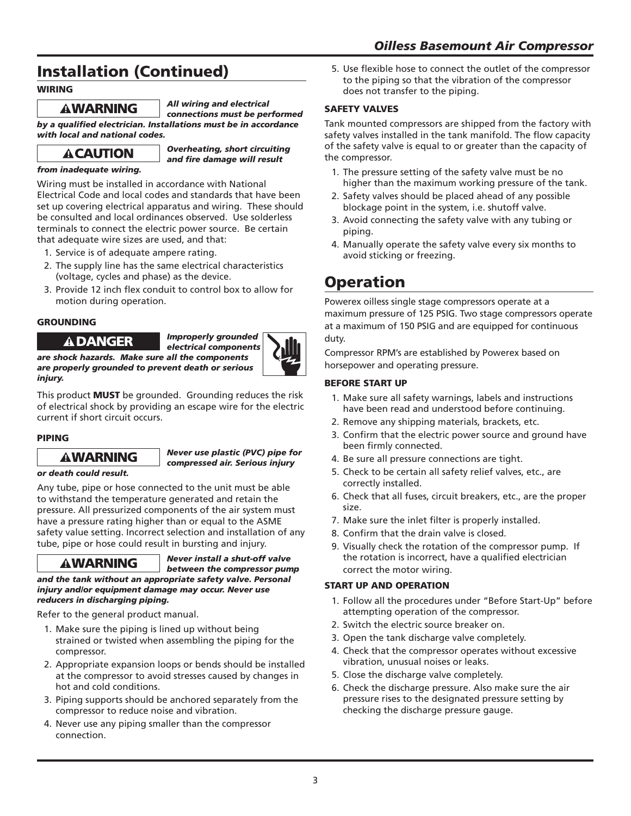# **Installation (Continued)**

## **WIRING**

 *All wiring and electrical connections must be performed* 

**by a qualified electrician. Installations must be in accordance** *with local and national codes.*



 *Overheating, short circuiting and fi re damage will result* 

## *from inadequate wiring.*

Wiring must be installed in accordance with National Electrical Code and local codes and standards that have been set up covering electrical apparatus and wiring. These should be consulted and local ordinances observed. Use solderless terminals to connect the electric power source. Be certain that adequate wire sizes are used, and that:

- 1. Service is of adequate ampere rating.
- 2. The supply line has the same electrical characteristics (voltage, cycles and phase) as the device.
- 3. Provide 12 inch flex conduit to control box to allow for motion during operation.

## **GROUNDING**

 *Improperly grounded electrical components* 



*are shock hazards. Make sure all the components are properly grounded to prevent death or serious injury.*

This product **MUST** be grounded. Grounding reduces the risk of electrical shock by providing an escape wire for the electric current if short circuit occurs.

## **PIPING**

### *Never use plastic (PVC) pipe for compressed air. Serious injury*

## *or death could result.*

Any tube, pipe or hose connected to the unit must be able to withstand the temperature generated and retain the pressure. All pressurized components of the air system must have a pressure rating higher than or equal to the ASME safety value setting. Incorrect selection and installation of any tube, pipe or hose could result in bursting and injury.

 *Never install a shut-off valve between the compressor pump and the tank without an appropriate safety valve. Personal injury and/or equipment damage may occur. Never use reducers in discharging piping.*

Refer to the general product manual.

- 1. Make sure the piping is lined up without being strained or twisted when assembling the piping for the compressor.
- 2. Appropriate expansion loops or bends should be installed at the compressor to avoid stresses caused by changes in hot and cold conditions.
- 3. Piping supports should be anchored separately from the compressor to reduce noise and vibration.
- 4. Never use any piping smaller than the compressor connection.

5. Use flexible hose to connect the outlet of the compressor to the piping so that the vibration of the compressor does not transfer to the piping.

## **SAFETY VALVES**

Tank mounted compressors are shipped from the factory with safety valves installed in the tank manifold. The flow capacity of the safety valve is equal to or greater than the capacity of the compressor.

- 1. The pressure setting of the safety valve must be no higher than the maximum working pressure of the tank.
- 2. Safety valves should be placed ahead of any possible blockage point in the system, i.e. shutoff valve.
- 3. Avoid connecting the safety valve with any tubing or piping.
- 4. Manually operate the safety valve every six months to avoid sticking or freezing.

# **Operation**

Powerex oilless single stage compressors operate at a maximum pressure of 125 PSIG. Two stage compressors operate at a maximum of 150 PSIG and are equipped for continuous duty.

Compressor RPM's are established by Powerex based on horsepower and operating pressure.

## **BEFORE START UP**

- 1. Make sure all safety warnings, labels and instructions have been read and understood before continuing.
- 2. Remove any shipping materials, brackets, etc.
- 3. Confirm that the electric power source and ground have been firmly connected.
- 4. Be sure all pressure connections are tight.
- 5. Check to be certain all safety relief valves, etc., are correctly installed.
- 6. Check that all fuses, circuit breakers, etc., are the proper size.
- 7. Make sure the inlet filter is properly installed.
- 8. Confirm that the drain valve is closed.
- 9. Visually check the rotation of the compressor pump. If the rotation is incorrect, have a qualified electrician correct the motor wiring.

## **START UP AND OPERATION**

- 1. Follow all the procedures under "Before Start-Up" before attempting operation of the compressor.
- 2. Switch the electric source breaker on.
- 3. Open the tank discharge valve completely.
- 4. Check that the compressor operates without excessive vibration, unusual noises or leaks.
- 5. Close the discharge valve completely.
- 6. Check the discharge pressure. Also make sure the air pressure rises to the designated pressure setting by checking the discharge pressure gauge.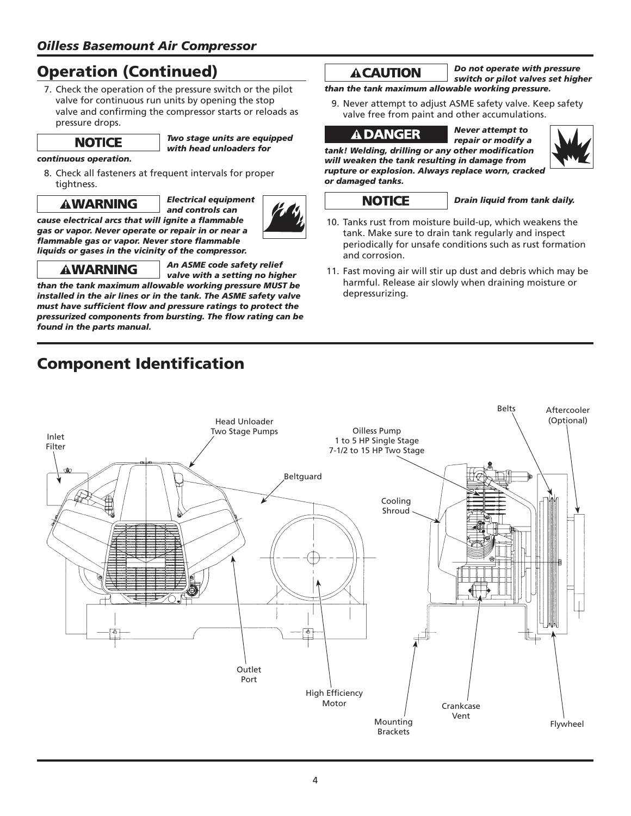# **Operation (Continued)**

 7. Check the operation of the pressure switch or the pilot valve for continuous run units by opening the stop valve and confirming the compressor starts or reloads as pressure drops.

 *Two stage units are equipped with head unloaders for* 

## *continuous operation.*

 8. Check all fasteners at frequent intervals for proper tightness.

cause electrical arcs that will ignite a flammable *gas or vapor. Never operate or repair in or near a* 

 *Electrical equipment and controls can* 



# *fl ammable gas or vapor. Never store fl ammable liquids or gases in the vicinity of the compressor.*

 *An ASME code safety relief* 

 *valve with a setting no higher than the tank maximum allowable working pressure MUST be installed in the air lines or in the tank. The ASME safety valve*  must have sufficient flow and pressure ratings to protect the *pressurized components from bursting. The fl ow rating can be found in the parts manual.*

# **Component Identification**

 *Do not operate with pressure switch or pilot valves set higher* 

*than the tank maximum allowable working pressure.*

 9. Never attempt to adjust ASME safety valve. Keep safety valve free from paint and other accumulations.

 *Never attempt to* 



 *repair or modify a tank! Welding, drilling or any other modifi cation will weaken the tank resulting in damage from rupture or explosion. Always replace worn, cracked or damaged tanks.*

## **NOTICE**

*Drain liquid from tank daily.*

- 10. Tanks rust from moisture build-up, which weakens the tank. Make sure to drain tank regularly and inspect periodically for unsafe conditions such as rust formation and corrosion.
- 11. Fast moving air will stir up dust and debris which may be harmful. Release air slowly when draining moisture or depressurizing.

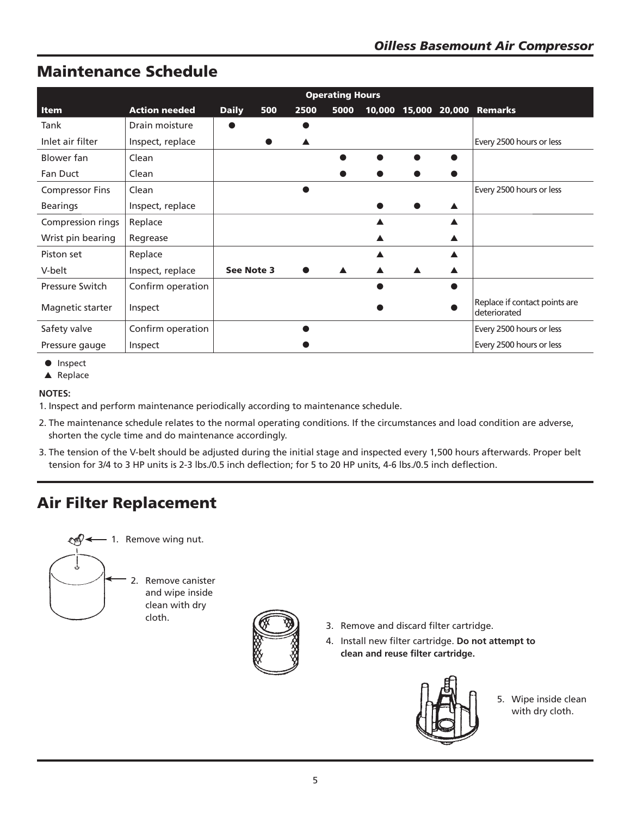# **Maintenance Schedule**

|                        |                      | <b>Operating Hours</b> |     |      |                  |  |  |                                               |
|------------------------|----------------------|------------------------|-----|------|------------------|--|--|-----------------------------------------------|
| <b>Item</b>            | <b>Action needed</b> | <b>Daily</b>           | 500 | 2500 | 5000             |  |  | 10,000 15,000 20,000 Remarks                  |
| Tank                   | Drain moisture       |                        |     |      |                  |  |  |                                               |
| Inlet air filter       | Inspect, replace     |                        |     |      |                  |  |  | Every 2500 hours or less                      |
| Blower fan             | Clean                |                        |     |      |                  |  |  |                                               |
| Fan Duct               | Clean                |                        |     |      |                  |  |  |                                               |
| <b>Compressor Fins</b> | Clean                |                        |     |      |                  |  |  | Every 2500 hours or less                      |
| <b>Bearings</b>        | Inspect, replace     |                        |     |      |                  |  |  |                                               |
| Compression rings      | Replace              |                        |     |      |                  |  |  |                                               |
| Wrist pin bearing      | Regrease             |                        |     |      |                  |  |  |                                               |
| Piston set             | Replace              |                        |     |      |                  |  |  |                                               |
| V-belt                 | Inspect, replace     | See Note 3             |     |      | $\blacktriangle$ |  |  |                                               |
| <b>Pressure Switch</b> | Confirm operation    |                        |     |      |                  |  |  |                                               |
| Magnetic starter       | Inspect              |                        |     |      |                  |  |  | Replace if contact points are<br>deteriorated |
| Safety valve           | Confirm operation    |                        |     |      |                  |  |  | Every 2500 hours or less                      |
| Pressure gauge         | Inspect              |                        |     |      |                  |  |  | Every 2500 hours or less                      |

● Inspect

▲ Replace

## **NOTES:**

1. Inspect and perform maintenance periodically according to maintenance schedule.

- 2. The maintenance schedule relates to the normal operating conditions. If the circumstances and load condition are adverse, shorten the cycle time and do maintenance accordingly.
- 3. The tension of the V-belt should be adjusted during the initial stage and inspected every 1,500 hours afterwards. Proper belt tension for 3/4 to 3 HP units is 2-3 lbs./0.5 inch deflection; for 5 to 20 HP units, 4-6 lbs./0.5 inch deflection.

# **Air Filter Replacement**





- 3. Remove and discard filter cartridge.
- 4. Install new filter cartridge. **Do not attempt to clean and reuse filter cartridge.**



5. Wipe inside clean with dry cloth.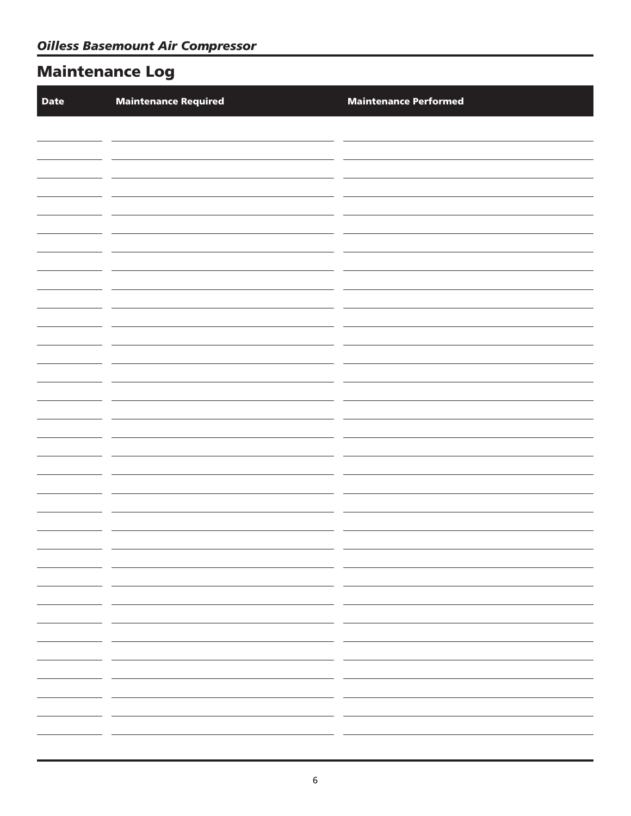# **Maintenance Log**

| <b>Date</b> | <b>Maintenance Required</b> | <b>Maintenance Performed</b> |
|-------------|-----------------------------|------------------------------|
|             |                             |                              |
|             |                             |                              |
|             |                             |                              |
|             |                             |                              |
|             |                             |                              |
|             |                             |                              |
|             |                             |                              |
|             |                             |                              |
|             |                             |                              |
|             |                             |                              |
|             |                             |                              |
|             |                             |                              |
|             |                             |                              |
|             |                             |                              |
|             |                             |                              |
|             |                             |                              |
|             |                             |                              |
|             | - -<br>$ -$                 |                              |
|             | — —<br>_________            |                              |
|             | — —                         |                              |
| $ -$        |                             |                              |
|             |                             |                              |
|             | $ -$                        |                              |
|             | __                          |                              |
|             | $ -$                        |                              |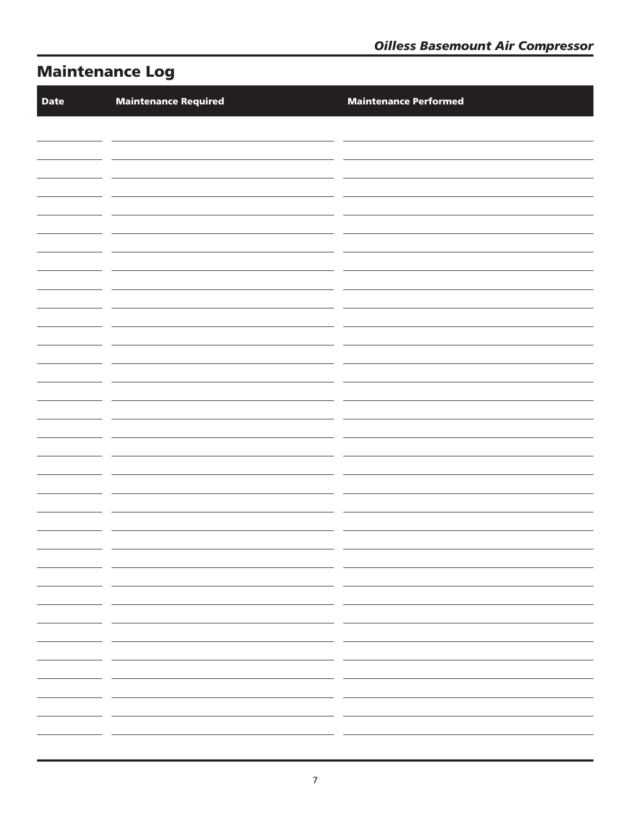# **Maintenance Log**

| <b>Date</b> | <b>Maintenance Required</b>                                                                                                                                                                                                          | <b>Maintenance Performed</b>                                                                                    |
|-------------|--------------------------------------------------------------------------------------------------------------------------------------------------------------------------------------------------------------------------------------|-----------------------------------------------------------------------------------------------------------------|
|             |                                                                                                                                                                                                                                      |                                                                                                                 |
|             |                                                                                                                                                                                                                                      |                                                                                                                 |
|             |                                                                                                                                                                                                                                      |                                                                                                                 |
|             |                                                                                                                                                                                                                                      |                                                                                                                 |
|             |                                                                                                                                                                                                                                      |                                                                                                                 |
|             |                                                                                                                                                                                                                                      |                                                                                                                 |
|             |                                                                                                                                                                                                                                      |                                                                                                                 |
|             |                                                                                                                                                                                                                                      |                                                                                                                 |
|             |                                                                                                                                                                                                                                      |                                                                                                                 |
|             |                                                                                                                                                                                                                                      |                                                                                                                 |
|             |                                                                                                                                                                                                                                      |                                                                                                                 |
|             |                                                                                                                                                                                                                                      |                                                                                                                 |
|             |                                                                                                                                                                                                                                      |                                                                                                                 |
|             |                                                                                                                                                                                                                                      |                                                                                                                 |
|             |                                                                                                                                                                                                                                      |                                                                                                                 |
|             |                                                                                                                                                                                                                                      |                                                                                                                 |
|             |                                                                                                                                                                                                                                      |                                                                                                                 |
|             | <u> 1980 - Jan Stein Stein Stein Stein Stein Stein Stein Stein Stein Stein Stein Stein Stein Stein Stein Stein Stein Stein Stein Stein Stein Stein Stein Stein Stein Stein Stein Stein Stein Stein Stein Stein Stein Stein Stein</u> |                                                                                                                 |
|             | the contract of the contract of the contract of the contract of the contract of the contract of the                                                                                                                                  | the control of the control of the control of the                                                                |
|             | <u> 1980 - Andrea Andrew Maria (h. 1980).</u>                                                                                                                                                                                        |                                                                                                                 |
|             |                                                                                                                                                                                                                                      | the control of the control of the control of the control of                                                     |
|             |                                                                                                                                                                                                                                      | the control of the control of the control of the control of<br>the control of the control of the control of the |
|             |                                                                                                                                                                                                                                      | the control of the control of the control of the                                                                |
|             |                                                                                                                                                                                                                                      |                                                                                                                 |
|             |                                                                                                                                                                                                                                      |                                                                                                                 |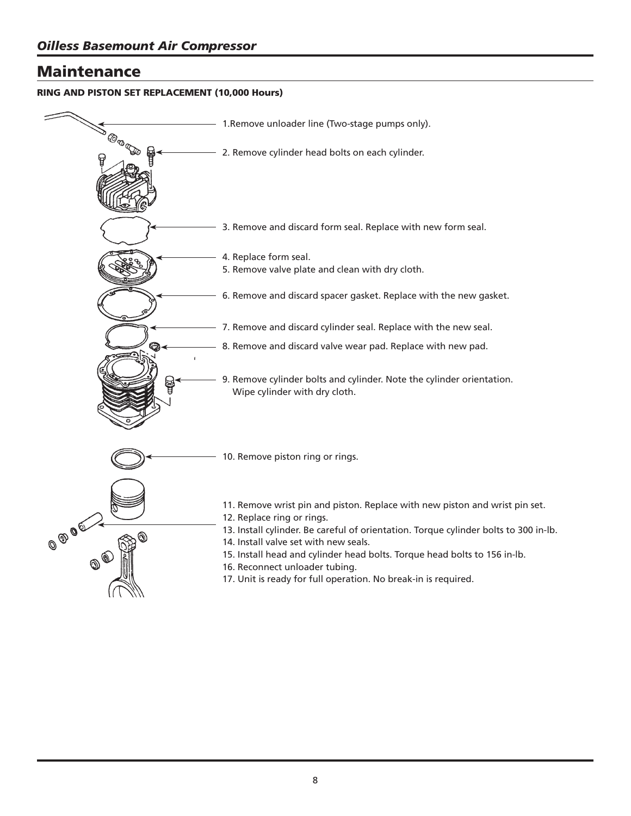# **Maintenance**

## **RING AND PISTON SET REPLACEMENT (10,000 Hours)**

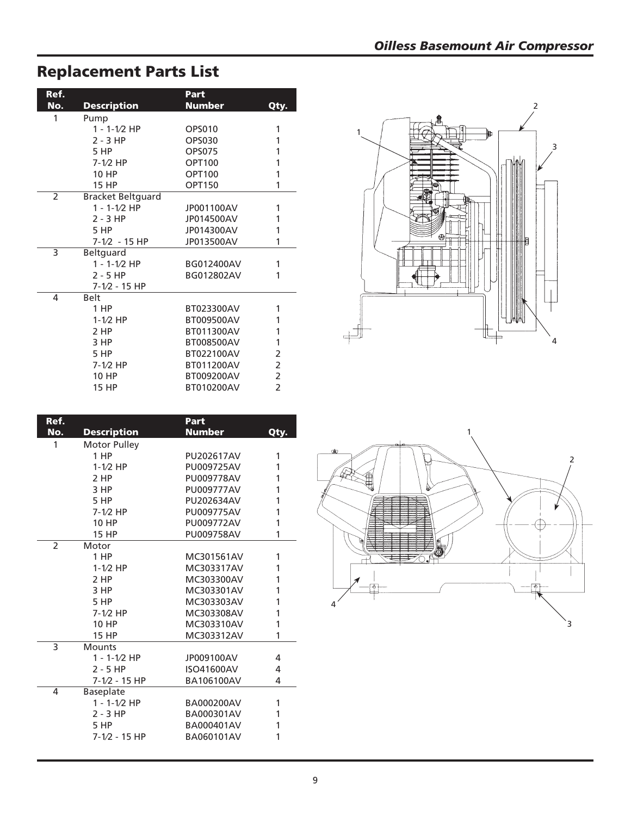# *Oilless Basemount Air Compressor*

### **Ref.**<br>No. Description Mum **Description Number** Qty. 1 Pump 1 - 1-1⁄2 HP OPS010 1 2 - 3 HP OPS030 1 5 HP OPS075 1 7-1⁄2 HP OPT100 1 10 HP OPT100 1 15 HP OPT150 1 2 Bracket Beltguard 1 - 1-1⁄2 HP JP001100AV 1 2 - 3 HP JP014500AV 1 JP014300AV 1 7-1⁄2 - 15 HP JP013500AV 1 3 Beltguard 1 - 1-1⁄2 HP BG012400AV 1 BG012802AV 1 7-1⁄2 - 15 HP 4 Belt BT023300AV 1 1-1⁄2 HP BT009500AV 1 BT011300AV 1 3 HP BT008500AV 1 BT022100AV 2 7-1⁄2 HP BT011200AV 2 10 HP BT009200AV 2 BT010200AV

| Ref.                     |                     | Part          |      |
|--------------------------|---------------------|---------------|------|
| No.                      | <b>Description</b>  | <b>Number</b> | Qty. |
| 1                        | <b>Motor Pulley</b> |               |      |
|                          | 1 HP                | PU202617AV    | 1    |
|                          | $1-1/2$ HP          | PU009725AV    | 1    |
|                          |                     |               |      |
|                          | 2 HP                | PU009778AV    | 1    |
|                          | 3 HP                | PU009777AV    | 1    |
|                          | 5 HP                | PU202634AV    | 1    |
|                          | $7-1/2$ HP          | PU009775AV    | 1    |
|                          | 10 HP               | PU009772AV    | 1    |
|                          | <b>15 HP</b>        | PU009758AV    | 1    |
| $\overline{\phantom{a}}$ | Motor               |               |      |
|                          | 1 HP                | MC301561AV    | 1    |
|                          | $1-1/2$ HP          | MC303317AV    | 1    |
|                          | 2 HP                | MC303300AV    | 1    |
|                          | 3 HP                | MC303301AV    | 1    |
|                          | 5 HP                | MC303303AV    | 1    |
|                          | $7-1/2$ HP          | MC303308AV    | 1    |
|                          | 10 HP               | MC303310AV    | 1    |
|                          | <b>15 HP</b>        | MC303312AV    | 1    |
| 3                        | <b>Mounts</b>       |               |      |
|                          | 1 - 1-1/2 HP        | JP009100AV    | 4    |
|                          | $2 - 5$ HP          | ISO41600AV    | 4    |
|                          | $7-1/2 - 15$ HP     | BA106100AV    | 4    |
| 4                        | <b>Baseplate</b>    |               |      |
|                          | $1 - 1 - 1/2$ HP    | BA000200AV    | 1    |
|                          | $2 - 3$ HP          | BA000301AV    | 1    |
|                          | 5 HP                | BA000401AV    | 1    |
|                          | $7 - 1/2 - 15$ HP   | BA060101AV    | 1    |
|                          |                     |               |      |





# **Replacement Parts List**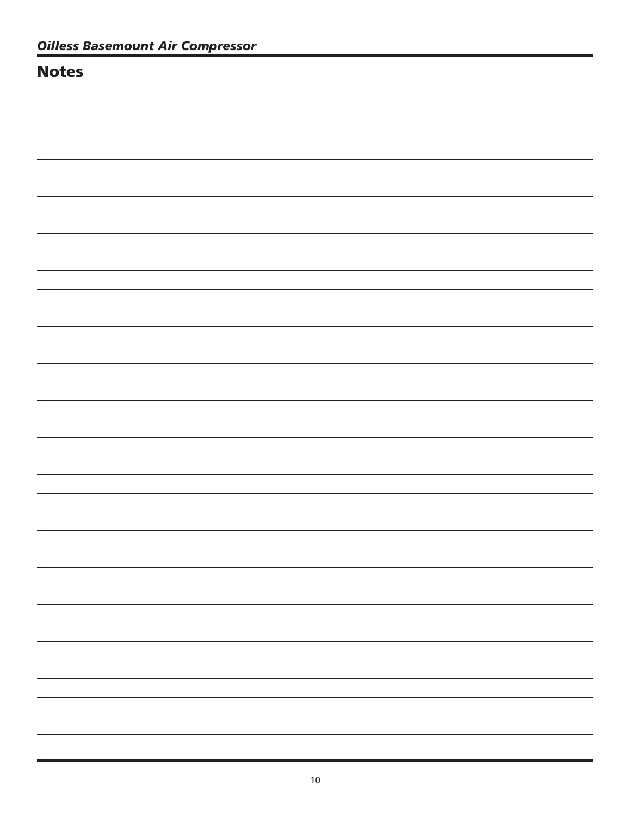# **Notes**

 $\overline{\phantom{0}}$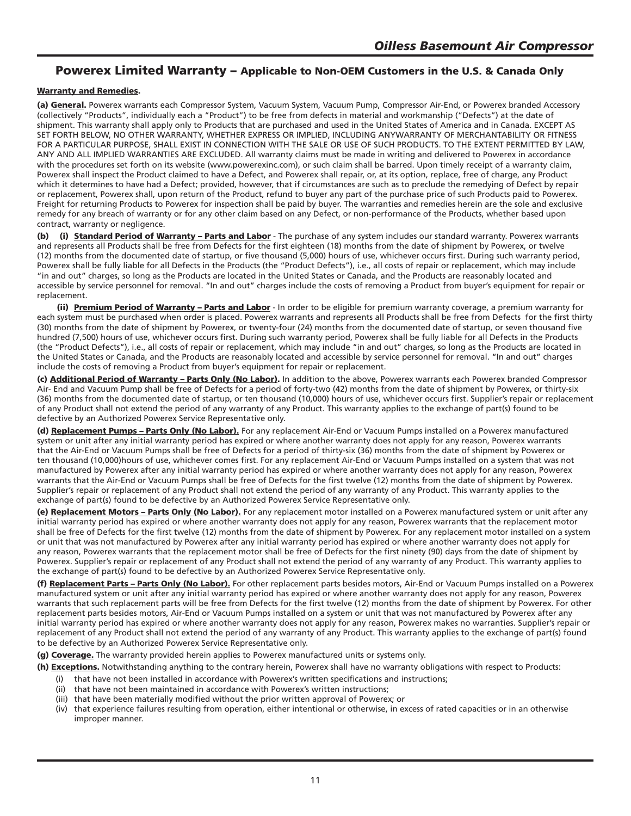# **Powerex Limited Warranty – Applicable to Non-OEM Customers in the U.S. & Canada Only**

### **Warranty and Remedies.**

**(a) General.** Powerex warrants each Compressor System, Vacuum System, Vacuum Pump, Compressor Air-End, or Powerex branded Accessory (collectively "Products", individually each a "Product") to be free from defects in material and workmanship ("Defects") at the date of shipment. This warranty shall apply only to Products that are purchased and used in the United States of America and in Canada. EXCEPT AS SET FORTH BELOW, NO OTHER WARRANTY, WHETHER EXPRESS OR IMPLIED, INCLUDING ANYWARRANTY OF MERCHANTABILITY OR FITNESS FOR A PARTICULAR PURPOSE, SHALL EXIST IN CONNECTION WITH THE SALE OR USE OF SUCH PRODUCTS. TO THE EXTENT PERMITTED BY LAW, ANY AND ALL IMPLIED WARRANTIES ARE EXCLUDED. All warranty claims must be made in writing and delivered to Powerex in accordance with the procedures set forth on its website (www.powerexinc.com), or such claim shall be barred. Upon timely receipt of a warranty claim, Powerex shall inspect the Product claimed to have a Defect, and Powerex shall repair, or, at its option, replace, free of charge, any Product which it determines to have had a Defect; provided, however, that if circumstances are such as to preclude the remedying of Defect by repair or replacement, Powerex shall, upon return of the Product, refund to buyer any part of the purchase price of such Products paid to Powerex. Freight for returning Products to Powerex for inspection shall be paid by buyer. The warranties and remedies herein are the sole and exclusive remedy for any breach of warranty or for any other claim based on any Defect, or non-performance of the Products, whether based upon contract, warranty or negligence.

**(b) (i) Standard Period of Warranty – Parts and Labor** - The purchase of any system includes our standard warranty. Powerex warrants and represents all Products shall be free from Defects for the first eighteen (18) months from the date of shipment by Powerex, or twelve (12) months from the documented date of startup, or five thousand (5,000) hours of use, whichever occurs first. During such warranty period, Powerex shall be fully liable for all Defects in the Products (the "Product Defects"), i.e., all costs of repair or replacement, which may include "in and out" charges, so long as the Products are located in the United States or Canada, and the Products are reasonably located and accessible by service personnel for removal. "In and out" charges include the costs of removing a Product from buyer's equipment for repair or replacement.

**(ii) Premium Period of Warranty – Parts and Labor** - In order to be eligible for premium warranty coverage, a premium warranty for each system must be purchased when order is placed. Powerex warrants and represents all Products shall be free from Defects for the first thirty (30) months from the date of shipment by Powerex, or twenty-four (24) months from the documented date of startup, or seven thousand five hundred (7,500) hours of use, whichever occurs first. During such warranty period, Powerex shall be fully liable for all Defects in the Products (the "Product Defects"), i.e., all costs of repair or replacement, which may include "in and out" charges, so long as the Products are located in the United States or Canada, and the Products are reasonably located and accessible by service personnel for removal. "In and out" charges include the costs of removing a Product from buyer's equipment for repair or replacement.

**(c) Additional Period of Warranty – Parts Only (No Labor).** In addition to the above, Powerex warrants each Powerex branded Compressor Air- End and Vacuum Pump shall be free of Defects for a period of forty-two (42) months from the date of shipment by Powerex, or thirty-six (36) months from the documented date of startup, or ten thousand (10,000) hours of use, whichever occurs first. Supplier's repair or replacement of any Product shall not extend the period of any warranty of any Product. This warranty applies to the exchange of part(s) found to be defective by an Authorized Powerex Service Representative only.

**(d) Replacement Pumps – Parts Only (No Labor).** For any replacement Air-End or Vacuum Pumps installed on a Powerex manufactured system or unit after any initial warranty period has expired or where another warranty does not apply for any reason, Powerex warrants that the Air-End or Vacuum Pumps shall be free of Defects for a period of thirty-six (36) months from the date of shipment by Powerex or ten thousand (10,000)hours of use, whichever comes first. For any replacement Air-End or Vacuum Pumps installed on a system that was not manufactured by Powerex after any initial warranty period has expired or where another warranty does not apply for any reason, Powerex warrants that the Air-End or Vacuum Pumps shall be free of Defects for the first twelve (12) months from the date of shipment by Powerex. Supplier's repair or replacement of any Product shall not extend the period of any warranty of any Product. This warranty applies to the exchange of part(s) found to be defective by an Authorized Powerex Service Representative only.

**(e) Replacement Motors – Parts Only (No Labor).** For any replacement motor installed on a Powerex manufactured system or unit after any initial warranty period has expired or where another warranty does not apply for any reason, Powerex warrants that the replacement motor shall be free of Defects for the first twelve (12) months from the date of shipment by Powerex. For any replacement motor installed on a system or unit that was not manufactured by Powerex after any initial warranty period has expired or where another warranty does not apply for any reason, Powerex warrants that the replacement motor shall be free of Defects for the first ninety (90) days from the date of shipment by Powerex. Supplier's repair or replacement of any Product shall not extend the period of any warranty of any Product. This warranty applies to the exchange of part(s) found to be defective by an Authorized Powerex Service Representative only.

**(f) Replacement Parts – Parts Only (No Labor).** For other replacement parts besides motors, Air-End or Vacuum Pumps installed on a Powerex manufactured system or unit after any initial warranty period has expired or where another warranty does not apply for any reason, Powerex warrants that such replacement parts will be free from Defects for the first twelve (12) months from the date of shipment by Powerex. For other replacement parts besides motors, Air-End or Vacuum Pumps installed on a system or unit that was not manufactured by Powerex after any initial warranty period has expired or where another warranty does not apply for any reason, Powerex makes no warranties. Supplier's repair or replacement of any Product shall not extend the period of any warranty of any Product. This warranty applies to the exchange of part(s) found to be defective by an Authorized Powerex Service Representative only.

**(g) Coverage.** The warranty provided herein applies to Powerex manufactured units or systems only.

**(h) Exceptions.** Notwithstanding anything to the contrary herein, Powerex shall have no warranty obligations with respect to Products:

- (i) that have not been installed in accordance with Powerex's written specifications and instructions;
- (ii) that have not been maintained in accordance with Powerex's written instructions;
- (iii) that have been materially modified without the prior written approval of Powerex; or
- (iv) that experience failures resulting from operation, either intentional or otherwise, in excess of rated capacities or in an otherwise improper manner.